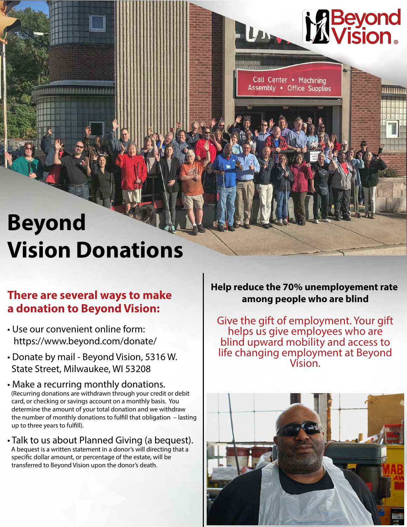## **Beyond Vision Donations**

#### **among people who are blind There are several ways to make a donation to Beyond Vision:**

- Use our convenient online form: https://www.beyond.com/donate/
- Donate by mail Beyond Vision, 5316 W. State Street, Milwaukee, WI 53208
- Make a recurring monthly donations. (Recurring donations are withdrawn through your credit or debit card, or checking or savings account on a monthly basis. You determine the amount of your total donation and we withdraw the number of monthly donations to fulfill that obligation - lasting up to three years to fulfill).
- Talk to us about Planned Giving (a bequest). A bequest is a written statement in a donor's will directing that a specific dollar amount, or percentage of the estate, will be transferred to Beyond Vision upon the donor's death.

## **Help reduce the 70% unemployement rate**

Call Center • Machining Assembly . Office Supplies

**M** Beyond

umm

Give the gift of employment. Your gift helps us give employees who are blind upward mobility and access to life changing employment at Beyond Vision.